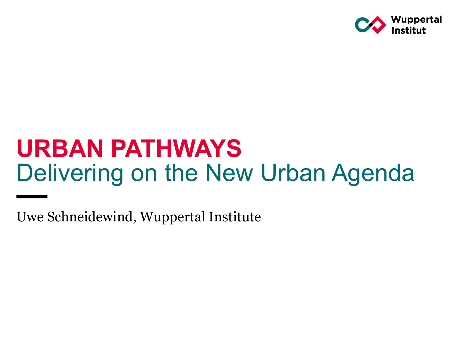

# **URBAN PATHWAYS**  Delivering on the New Urban Agenda

Uwe Schneidewind, Wuppertal Institute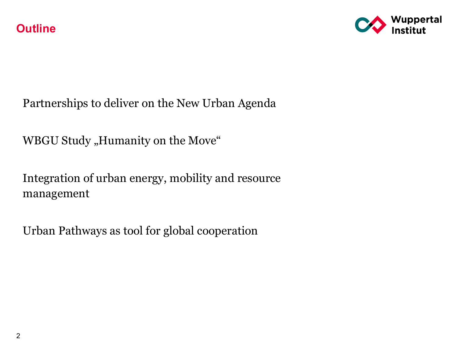

Partnerships to deliver on the New Urban Agenda

WBGU Study "Humanity on the Move"

Integration of urban energy, mobility and resource management

Urban Pathways as tool for global cooperation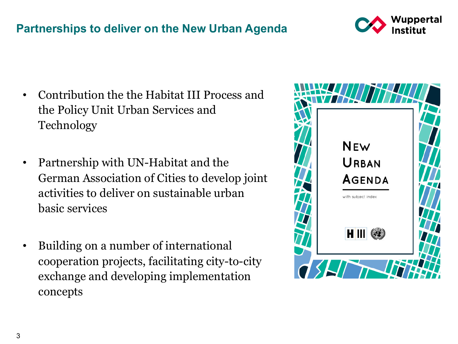#### **Partnerships to deliver on the New Urban Agenda**



- Contribution the the Habitat III Process and the Policy Unit Urban Services and Technology
- Partnership with UN-Habitat and the German Association of Cities to develop joint activities to deliver on sustainable urban basic services
- Building on a number of international cooperation projects, facilitating city-to-city exchange and developing implementation concepts

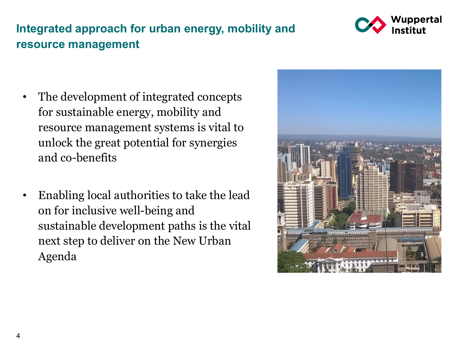## **Integrated approach for urban energy, mobility and resource management**

Wuppertal

- The development of integrated concepts for sustainable energy, mobility and resource management systems is vital to unlock the great potential for synergies and co-benefits
- Enabling local authorities to take the lead on for inclusive well-being and sustainable development paths is the vital next step to deliver on the New Urban Agenda

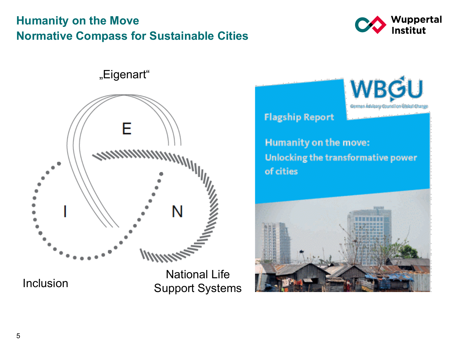### **Humanity on the Move Normative Compass for Sustainable Cities**



"Eigenart"



Inclusion

National Life Support Systems



Humanity on the move: Unlocking the transformative power of cities

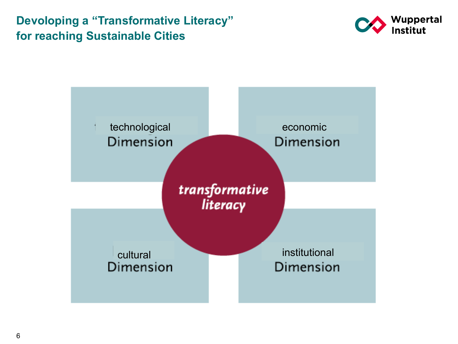**Devoloping a "Transformative Literacy" for reaching Sustainable Cities**



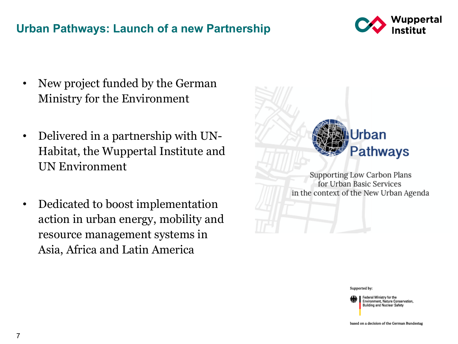#### **Urban Pathways: Launch of a new Partnership**



- New project funded by the German Ministry for the Environment
- Delivered in a partnership with UN-Habitat, the Wuppertal Institute and UN Environment
- Dedicated to boost implementation action in urban energy, mobility and resource management systems in Asia, Africa and Latin America



**Supporting Low Carbon Plans** for Urban Basic Services in the context of the New Urban Agenda

Supported by:

Federal Ministry for the Environment, Nature Conservation, **Building and Nuclear Safety** 

based on a decision of the German Bundestag